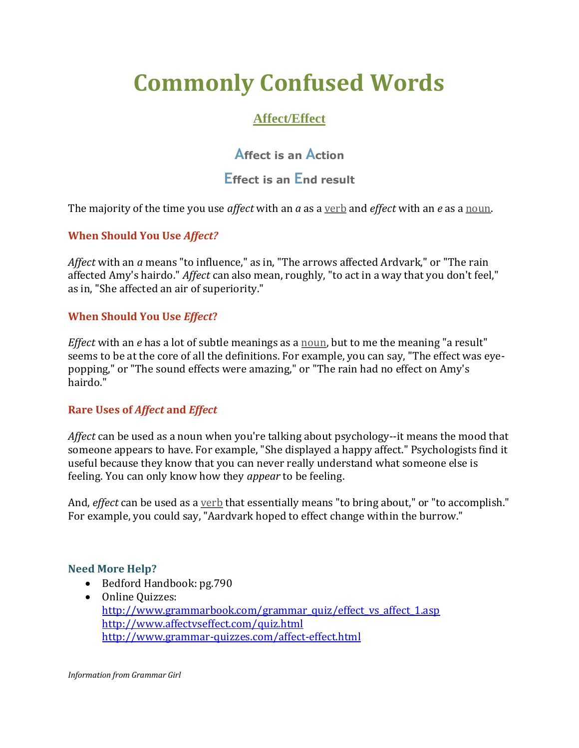# **Commonly Confused Words**

# **Affect/Effect**

**Affect is an Action**

# **Effect is an End result**

The majority of the time you use *affect* with an *a* as a [verb](http://grammar.quickanddirtytips.com/subject-verb-agreement.aspx) and *effect* with an *e* as [a noun.](http://grammar.quickanddirtytips.com/collective-nouns.aspx)

# **When Should You Use** *Affect?*

*Affect* with an *a* means "to influence," as in, "The arrows affected Ardvark," or "The rain affected Amy's hairdo." *Affect* can also mean, roughly, "to act in a way that you don't feel," as in, "She affected an air of superiority."

# **When Should You Use** *Effect***?**

*Effect* with an *e* has a lot of subtle meanings as a [noun,](http://grammar.quickanddirtytips.com/Capitalizing-Proper-Nouns.aspx) but to me the meaning "a result" seems to be at the core of all the definitions. For example, you can say, "The effect was eyepopping," or "The sound effects were amazing," or "The rain had no effect on Amy's hairdo."

# **Rare Uses of** *Affect* **and** *Effect*

*Affect* can be used as a noun when you're talking about psychology--it means the mood that someone appears to have. For example, "She displayed a happy affect." Psychologists find it useful because they know that you can never really understand what someone else is feeling. You can only know how they *appear* to be feeling.

And, *effect* can be used as a [verb](http://grammar.quickanddirtytips.com/subject-verb-agreement.aspx) that essentially means "to bring about," or "to accomplish." For example, you could say, "Aardvark hoped to effect change within the burrow."

# **Need More Help?**

- Bedford Handbook: pg.790
- Online Quizzes: [http://www.grammarbook.com/grammar\\_quiz/effect\\_vs\\_affect\\_1.asp](http://www.grammarbook.com/grammar_quiz/effect_vs_affect_1.asp) <http://www.affectvseffect.com/quiz.html> <http://www.grammar-quizzes.com/affect-effect.html>

*Information from Grammar Girl*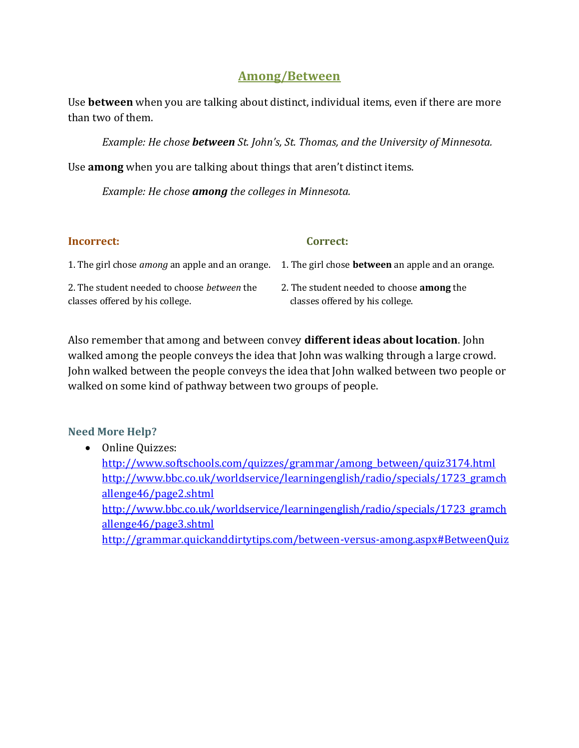# **Among/Between**

Use **between** when you are talking about distinct, individual items, even if there are more than two of them.

*Example: He chose between St. John's, St. Thomas, and the University of Minnesota.* 

Use **among** when you are talking about things that aren't distinct items.

*Example: He chose among the colleges in Minnesota.* 

#### **Incorrect: Correct:**

|                                             | 1. The girl chose <i>among</i> an apple and an orange. 1. The girl chose <b>between</b> an apple and an orange. |
|---------------------------------------------|-----------------------------------------------------------------------------------------------------------------|
| 2. The student needed to choose between the | 2. The student needed to choose <b>among</b> the                                                                |
| classes offered by his college.             | classes offered by his college.                                                                                 |

Also remember that among and between convey **different ideas about location**. John walked among the people conveys the idea that John was walking through a large crowd. John walked between the people conveys the idea that John walked between two people or walked on some kind of pathway between two groups of people.

# **Need More Help?**

• Online Quizzes: [http://www.softschools.com/quizzes/grammar/among\\_between/quiz3174.html](http://www.softschools.com/quizzes/grammar/among_between/quiz3174.html) [http://www.bbc.co.uk/worldservice/learningenglish/radio/specials/1723\\_gramch](http://www.bbc.co.uk/worldservice/learningenglish/radio/specials/1723_gramchallenge46/page2.shtml) [allenge46/page2.shtml](http://www.bbc.co.uk/worldservice/learningenglish/radio/specials/1723_gramchallenge46/page2.shtml) [http://www.bbc.co.uk/worldservice/learningenglish/radio/specials/1723\\_gramch](http://www.bbc.co.uk/worldservice/learningenglish/radio/specials/1723_gramchallenge46/page3.shtml) [allenge46/page3.shtml](http://www.bbc.co.uk/worldservice/learningenglish/radio/specials/1723_gramchallenge46/page3.shtml) <http://grammar.quickanddirtytips.com/between-versus-among.aspx#BetweenQuiz>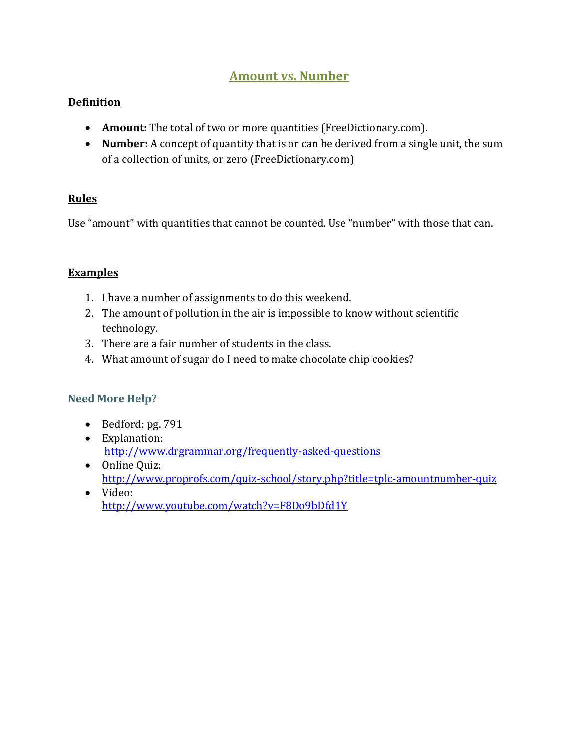# **Amount vs. Number**

# **Definition**

- **Amount:** The total of two or more quantities (FreeDictionary.com).
- **Number:** A concept of quantity that is or can be derived from a single unit, the sum of a collection of units, or zero (FreeDictionary.com)

# **Rules**

Use "amount" with quantities that cannot be counted. Use "number" with those that can.

# **Examples**

- 1. I have a number of assignments to do this weekend.
- 2. The amount of pollution in the air is impossible to know without scientific technology.
- 3. There are a fair number of students in the class.
- 4. What amount of sugar do I need to make chocolate chip cookies?

# **Need More Help?**

- $\bullet$  Bedford: pg. 791
- Explanation: <http://www.drgrammar.org/frequently-asked-questions>
- Online Quiz: <http://www.proprofs.com/quiz-school/story.php?title=tplc-amountnumber-quiz>
- Video: <http://www.youtube.com/watch?v=F8Do9bDfd1Y>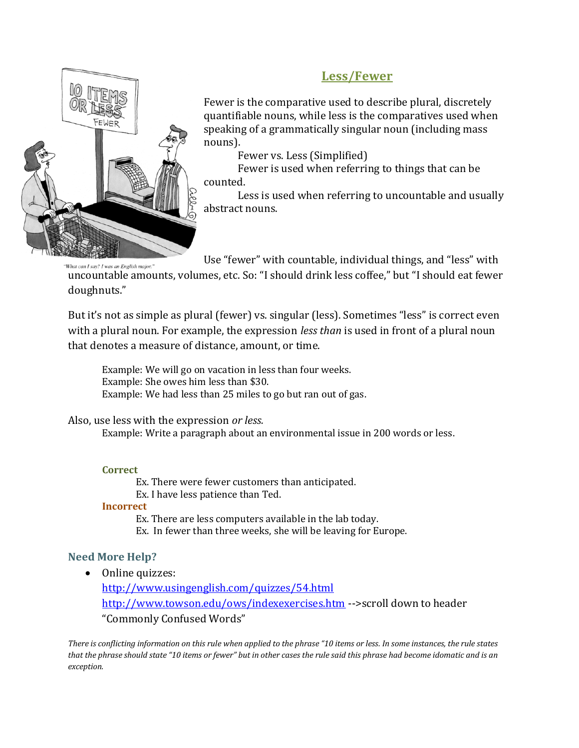

# **Less/Fewer**

Fewer is the comparative used to describe plural, discretely quantifiable nouns, while less is the comparatives used when speaking of a grammatically singular noun (including mass nouns).

Fewer vs. Less (Simplified)

Fewer is used when referring to things that can be counted.

Less is used when referring to uncountable and usually abstract nouns.

Use "fewer" with countable, individual things, and "less" with

uncountable amounts, volumes, etc. So: "I should drink less coffee," but "I should eat fewer doughnuts."

But it's not as simple as plural (fewer) vs. singular (less). Sometimes "less" is correct even with a plural noun. For example, the expression *less than* is used in front of a plural noun that denotes a measure of distance, amount, or time.

Example: We will go on vacation in less than four weeks. Example: She owes him less than \$30. Example: We had less than 25 miles to go but ran out of gas.

#### Also, use less with the expression *or less.*

Example: Write a paragraph about an environmental issue in 200 words or less.

#### **Correct**

Ex. There were fewer customers than anticipated. Ex. I have less patience than Ted.

#### **Incorrect**

Ex. There are less computers available in the lab today. Ex. In fewer than three weeks, she will be leaving for Europe.

# **Need More Help?**

• Online quizzes:

<http://www.usingenglish.com/quizzes/54.html> <http://www.towson.edu/ows/indexexercises.htm> -->scroll down to header "Commonly Confused Words"

*There is conflicting information on this rule when applied to the phrase "10 items or less. In some instances, the rule states that the phrase should state "10 items or fewer" but in other cases the rule said this phrase had become idomatic and is an exception.*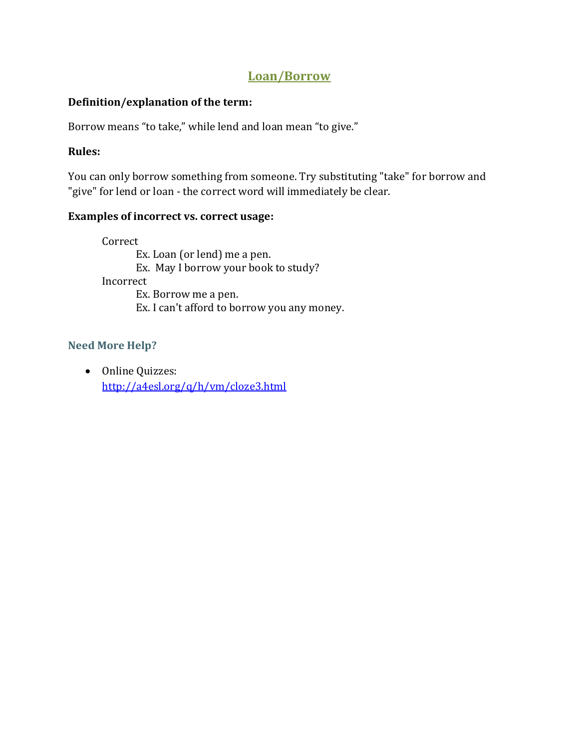# **Loan/Borrow**

# **Definition/explanation of the term:**

Borrow means "to take," while lend and loan mean "to give."

# **Rules:**

You can only borrow something from someone. Try substituting "take" for borrow and "give" for lend or loan - the correct word will immediately be clear.

# **Examples of incorrect vs. correct usage:**

Correct Ex. Loan (or lend) me a pen. Ex. May I borrow your book to study? Incorrect Ex. Borrow me a pen. Ex. I can't afford to borrow you any money.

# **Need More Help?**

• Online Quizzes: <http://a4esl.org/q/h/vm/cloze3.html>